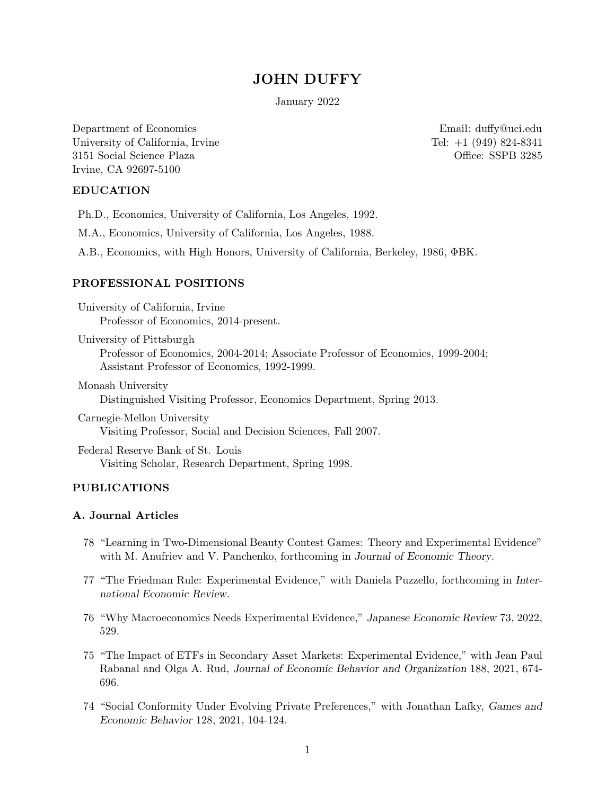## **JOHN DUFFY**

January 2022

Department of Economics Email: duffy@uci.edu University of California, Irvine Tel: +1 (949) 824-8341 3151 Social Science Plaza Office: SSPB 3285 Irvine, CA 92697-5100

Ph.D., Economics, University of California, Los Angeles, 1992.

M.A., Economics, University of California, Los Angeles, 1988.

A.B., Economics, with High Honors, University of California, Berkeley, 1986, ΦBK.

### PROFESSIONAL POSITIONS

University of California, Irvine Professor of Economics, 2014-present.

University of Pittsburgh Professor of Economics, 2004-2014; Associate Professor of Economics, 1999-2004; Assistant Professor of Economics, 1992-1999.

Monash University Distinguished Visiting Professor, Economics Department, Spring 2013.

Carnegie-Mellon University Visiting Professor, Social and Decision Sciences, Fall 2007.

Federal Reserve Bank of St. Louis Visiting Scholar, Research Department, Spring 1998.

### A. Journal Articles

- 78 "Learning in Two-Dimensional Beauty Contest Games: Theory and Experimental Evidence" with M. Anufriev and V. Panchenko, forthcoming in *Journal of Economic Theory*.
- 77 "The Friedman Rule: Experimental Evidence," with Daniela Puzzello, forthcoming in *International Economic Review*.
- 76 "Why Macroeconomics Needs Experimental Evidence," *Japanese Economic Review* 73, 2022, 529.
- 75 "The Impact of ETFs in Secondary Asset Markets: Experimental Evidence," with Jean Paul Rabanal and Olga A. Rud, *Journal of Economic Behavior and Organization* 188, 2021, 674- 696.
- 74 "Social Conformity Under Evolving Private Preferences," with Jonathan Lafky, *Games and Economic Behavior* 128, 2021, 104-124.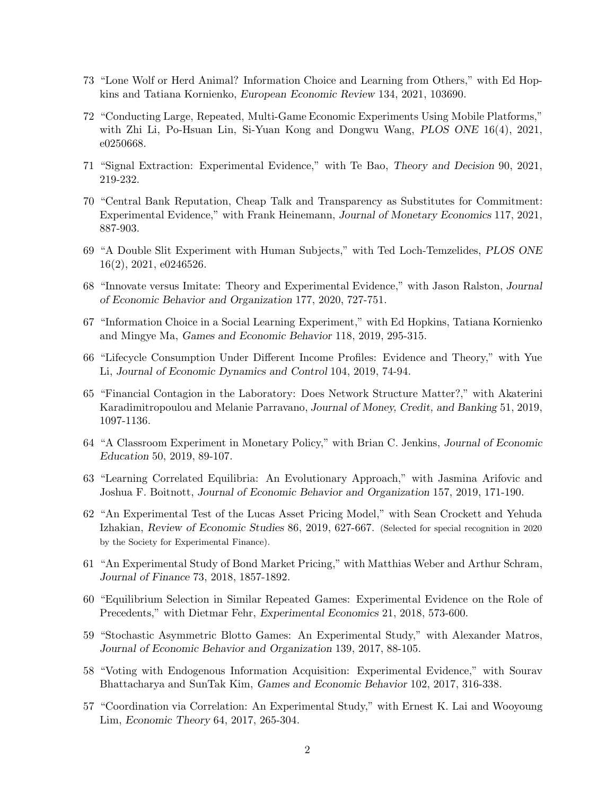- 73 "Lone Wolf or Herd Animal? Information Choice and Learning from Others," with Ed Hopkins and Tatiana Kornienko, *European Economic Review* 134, 2021, 103690.
- 72 "Conducting Large, Repeated, Multi-Game Economic Experiments Using Mobile Platforms," with Zhi Li, Po-Hsuan Lin, Si-Yuan Kong and Dongwu Wang, *PLOS ONE* 16(4), 2021, e0250668.
- 71 "Signal Extraction: Experimental Evidence," with Te Bao, *Theory and Decision* 90, 2021, 219-232.
- 70 "Central Bank Reputation, Cheap Talk and Transparency as Substitutes for Commitment: Experimental Evidence," with Frank Heinemann, *Journal of Monetary Economics* 117, 2021, 887-903.
- 69 "A Double Slit Experiment with Human Subjects," with Ted Loch-Temzelides, *PLOS ONE* 16(2), 2021, e0246526.
- 68 "Innovate versus Imitate: Theory and Experimental Evidence," with Jason Ralston, *Journal of Economic Behavior and Organization* 177, 2020, 727-751.
- 67 "Information Choice in a Social Learning Experiment," with Ed Hopkins, Tatiana Kornienko and Mingye Ma, *Games and Economic Behavior* 118, 2019, 295-315.
- 66 "Lifecycle Consumption Under Different Income Profiles: Evidence and Theory," with Yue Li, *Journal of Economic Dynamics and Control* 104, 2019, 74-94.
- 65 "Financial Contagion in the Laboratory: Does Network Structure Matter?," with Akaterini Karadimitropoulou and Melanie Parravano, *Journal of Money, Credit, and Banking* 51, 2019, 1097-1136.
- 64 "A Classroom Experiment in Monetary Policy," with Brian C. Jenkins, *Journal of Economic Education* 50, 2019, 89-107.
- 63 "Learning Correlated Equilibria: An Evolutionary Approach," with Jasmina Arifovic and Joshua F. Boitnott, *Journal of Economic Behavior and Organization* 157, 2019, 171-190.
- 62 "An Experimental Test of the Lucas Asset Pricing Model," with Sean Crockett and Yehuda Izhakian, *Review of Economic Studies* 86, 2019, 627-667. (Selected for special recognition in 2020 by the Society for Experimental Finance).
- 61 "An Experimental Study of Bond Market Pricing," with Matthias Weber and Arthur Schram, *Journal of Finance* 73, 2018, 1857-1892.
- 60 "Equilibrium Selection in Similar Repeated Games: Experimental Evidence on the Role of Precedents," with Dietmar Fehr, *Experimental Economics* 21, 2018, 573-600.
- 59 "Stochastic Asymmetric Blotto Games: An Experimental Study," with Alexander Matros, *Journal of Economic Behavior and Organization* 139, 2017, 88-105.
- 58 "Voting with Endogenous Information Acquisition: Experimental Evidence," with Sourav Bhattacharya and SunTak Kim, *Games and Economic Behavior* 102, 2017, 316-338.
- 57 "Coordination via Correlation: An Experimental Study," with Ernest K. Lai and Wooyoung Lim, *Economic Theory* 64, 2017, 265-304.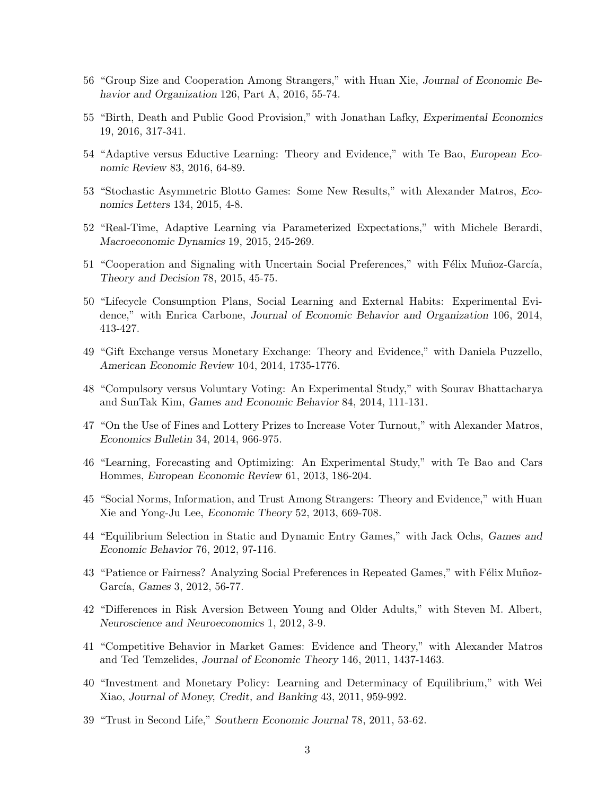- 56 "Group Size and Cooperation Among Strangers," with Huan Xie, *Journal of Economic Behavior and Organization* 126, Part A, 2016, 55-74.
- 55 "Birth, Death and Public Good Provision," with Jonathan Lafky, *Experimental Economics* 19, 2016, 317-341.
- 54 "Adaptive versus Eductive Learning: Theory and Evidence," with Te Bao, *European Economic Review* 83, 2016, 64-89.
- 53 "Stochastic Asymmetric Blotto Games: Some New Results," with Alexander Matros, *Economics Letters* 134, 2015, 4-8.
- 52 "Real-Time, Adaptive Learning via Parameterized Expectations," with Michele Berardi, *Macroeconomic Dynamics* 19, 2015, 245-269.
- 51 "Cooperation and Signaling with Uncertain Social Preferences," with Félix Muñoz-García, *Theory and Decision* 78, 2015, 45-75.
- 50 "Lifecycle Consumption Plans, Social Learning and External Habits: Experimental Evidence," with Enrica Carbone, *Journal of Economic Behavior and Organization* 106, 2014, 413-427.
- 49 "Gift Exchange versus Monetary Exchange: Theory and Evidence," with Daniela Puzzello, *American Economic Review* 104, 2014, 1735-1776.
- 48 "Compulsory versus Voluntary Voting: An Experimental Study," with Sourav Bhattacharya and SunTak Kim, *Games and Economic Behavior* 84, 2014, 111-131.
- 47 "On the Use of Fines and Lottery Prizes to Increase Voter Turnout," with Alexander Matros, *Economics Bulletin* 34, 2014, 966-975.
- 46 "Learning, Forecasting and Optimizing: An Experimental Study," with Te Bao and Cars Hommes, *European Economic Review* 61, 2013, 186-204.
- 45 "Social Norms, Information, and Trust Among Strangers: Theory and Evidence," with Huan Xie and Yong-Ju Lee, *Economic Theory* 52, 2013, 669-708.
- 44 "Equilibrium Selection in Static and Dynamic Entry Games," with Jack Ochs, *Games and Economic Behavior* 76, 2012, 97-116.
- 43 "Patience or Fairness? Analyzing Social Preferences in Repeated Games," with Félix Muñoz-García, *Games* 3, 2012, 56-77.
- 42 "Differences in Risk Aversion Between Young and Older Adults," with Steven M. Albert, *Neuroscience and Neuroeconomics* 1, 2012, 3-9.
- 41 "Competitive Behavior in Market Games: Evidence and Theory," with Alexander Matros and Ted Temzelides, *Journal of Economic Theory* 146, 2011, 1437-1463.
- 40 "Investment and Monetary Policy: Learning and Determinacy of Equilibrium," with Wei Xiao, *Journal of Money, Credit, and Banking* 43, 2011, 959-992.
- 39 "Trust in Second Life," *Southern Economic Journal* 78, 2011, 53-62.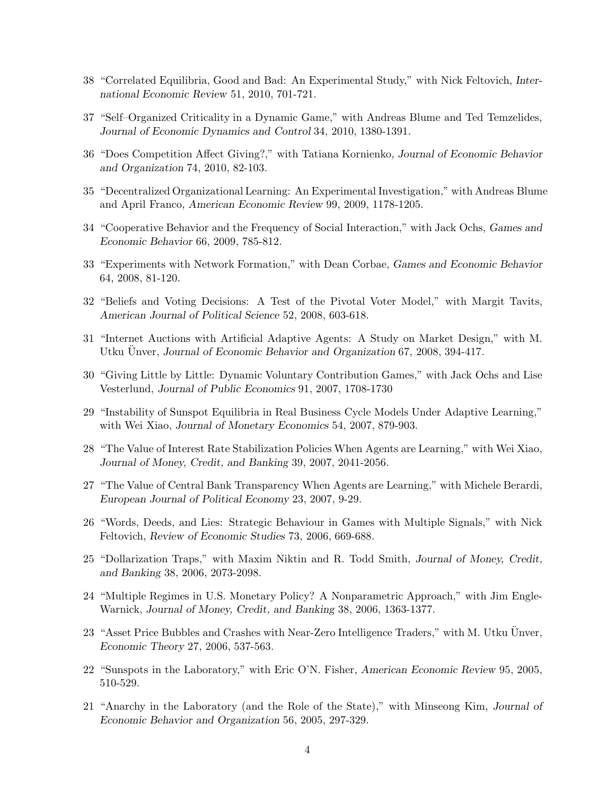- 38 "Correlated Equilibria, Good and Bad: An Experimental Study," with Nick Feltovich, *International Economic Review* 51, 2010, 701-721.
- 37 "Self–Organized Criticality in a Dynamic Game," with Andreas Blume and Ted Temzelides, *Journal of Economic Dynamics and Control* 34, 2010, 1380-1391.
- 36 "Does Competition Affect Giving?," with Tatiana Kornienko, *Journal of Economic Behavior and Organization* 74, 2010, 82-103.
- 35 "Decentralized Organizational Learning: An Experimental Investigation," with Andreas Blume and April Franco, *American Economic Review* 99, 2009, 1178-1205.
- 34 "Cooperative Behavior and the Frequency of Social Interaction," with Jack Ochs, *Games and Economic Behavior* 66, 2009, 785-812.
- 33 "Experiments with Network Formation," with Dean Corbae, *Games and Economic Behavior* 64, 2008, 81-120.
- 32 "Beliefs and Voting Decisions: A Test of the Pivotal Voter Model," with Margit Tavits, *American Journal of Political Science* 52, 2008, 603-618.
- 31 "Internet Auctions with Artificial Adaptive Agents: A Study on Market Design," with M. Utku Unver, *Journal of Economic Behavior and Organization* 67, 2008, 394-417.
- 30 "Giving Little by Little: Dynamic Voluntary Contribution Games," with Jack Ochs and Lise Vesterlund, *Journal of Public Economics* 91, 2007, 1708-1730
- 29 "Instability of Sunspot Equilibria in Real Business Cycle Models Under Adaptive Learning," with Wei Xiao, *Journal of Monetary Economics* 54, 2007, 879-903.
- 28 "The Value of Interest Rate Stabilization Policies When Agents are Learning," with Wei Xiao, *Journal of Money, Credit, and Banking* 39, 2007, 2041-2056.
- 27 "The Value of Central Bank Transparency When Agents are Learning," with Michele Berardi, *European Journal of Political Economy* 23, 2007, 9-29.
- 26 "Words, Deeds, and Lies: Strategic Behaviour in Games with Multiple Signals," with Nick Feltovich, *Review of Economic Studies* 73, 2006, 669-688.
- 25 "Dollarization Traps," with Maxim Niktin and R. Todd Smith, *Journal of Money, Credit, and Banking* 38, 2006, 2073-2098.
- 24 "Multiple Regimes in U.S. Monetary Policy? A Nonparametric Approach," with Jim Engle-Warnick, *Journal of Money, Credit, and Banking* 38, 2006, 1363-1377.
- 23 "Asset Price Bubbles and Crashes with Near-Zero Intelligence Traders," with M. Utku Unver, *Economic Theory* 27, 2006, 537-563.
- 22 "Sunspots in the Laboratory," with Eric O'N. Fisher, *American Economic Review* 95, 2005, 510-529.
- 21 "Anarchy in the Laboratory (and the Role of the State)," with Minseong Kim, *Journal of Economic Behavior and Organization* 56, 2005, 297-329.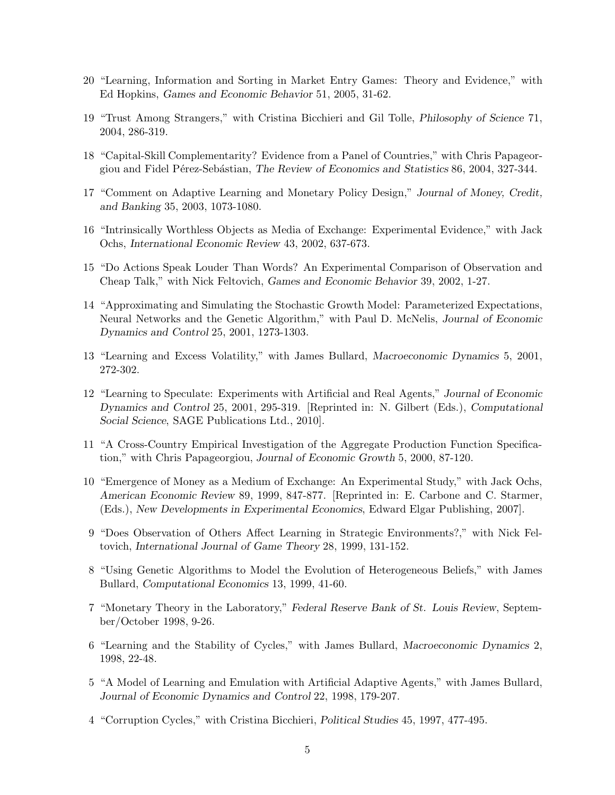- 20 "Learning, Information and Sorting in Market Entry Games: Theory and Evidence," with Ed Hopkins, *Games and Economic Behavior* 51, 2005, 31-62.
- 19 "Trust Among Strangers," with Cristina Bicchieri and Gil Tolle, *Philosophy of Science* 71, 2004, 286-319.
- 18 "Capital-Skill Complementarity? Evidence from a Panel of Countries," with Chris Papageorgiou and Fidel P´erez-Seb´astian, *The Review of Economics and Statistics* 86, 2004, 327-344.
- 17 "Comment on Adaptive Learning and Monetary Policy Design," *Journal of Money, Credit, and Banking* 35, 2003, 1073-1080.
- 16 "Intrinsically Worthless Objects as Media of Exchange: Experimental Evidence," with Jack Ochs, *International Economic Review* 43, 2002, 637-673.
- 15 "Do Actions Speak Louder Than Words? An Experimental Comparison of Observation and Cheap Talk," with Nick Feltovich, *Games and Economic Behavior* 39, 2002, 1-27.
- 14 "Approximating and Simulating the Stochastic Growth Model: Parameterized Expectations, Neural Networks and the Genetic Algorithm," with Paul D. McNelis, *Journal of Economic Dynamics and Control* 25, 2001, 1273-1303.
- 13 "Learning and Excess Volatility," with James Bullard, *Macroeconomic Dynamics* 5, 2001, 272-302.
- 12 "Learning to Speculate: Experiments with Artificial and Real Agents," *Journal of Economic Dynamics and Control* 25, 2001, 295-319. [Reprinted in: N. Gilbert (Eds.), *Computational Social Science*, SAGE Publications Ltd., 2010].
- 11 "A Cross-Country Empirical Investigation of the Aggregate Production Function Specification," with Chris Papageorgiou, *Journal of Economic Growth* 5, 2000, 87-120.
- 10 "Emergence of Money as a Medium of Exchange: An Experimental Study," with Jack Ochs, *American Economic Review* 89, 1999, 847-877. [Reprinted in: E. Carbone and C. Starmer, (Eds.), *New Developments in Experimental Economics*, Edward Elgar Publishing, 2007].
- 9 "Does Observation of Others Affect Learning in Strategic Environments?," with Nick Feltovich, *International Journal of Game Theory* 28, 1999, 131-152.
- 8 "Using Genetic Algorithms to Model the Evolution of Heterogeneous Beliefs," with James Bullard, *Computational Economics* 13, 1999, 41-60.
- 7 "Monetary Theory in the Laboratory," *Federal Reserve Bank of St. Louis Review*, September/October 1998, 9-26.
- 6 "Learning and the Stability of Cycles," with James Bullard, *Macroeconomic Dynamics* 2, 1998, 22-48.
- 5 "A Model of Learning and Emulation with Artificial Adaptive Agents," with James Bullard, *Journal of Economic Dynamics and Control* 22, 1998, 179-207.
- 4 "Corruption Cycles," with Cristina Bicchieri, *Political Studies* 45, 1997, 477-495.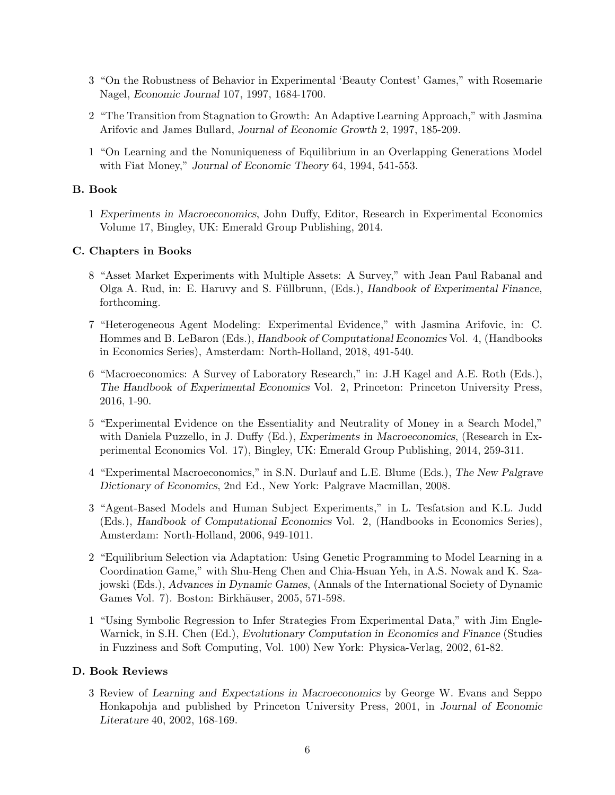- 3 "On the Robustness of Behavior in Experimental 'Beauty Contest' Games," with Rosemarie Nagel, *Economic Journal* 107, 1997, 1684-1700.
- 2 "The Transition from Stagnation to Growth: An Adaptive Learning Approach," with Jasmina Arifovic and James Bullard, *Journal of Economic Growth* 2, 1997, 185-209.
- 1 "On Learning and the Nonuniqueness of Equilibrium in an Overlapping Generations Model with Fiat Money," *Journal of Economic Theory* 64, 1994, 541-553.

1 *Experiments in Macroeconomics*, John Duffy, Editor, Research in Experimental Economics Volume 17, Bingley, UK: Emerald Group Publishing, 2014.

## **C. Chapters in Books**

- 8 "Asset Market Experiments with Multiple Assets: A Survey," with Jean Paul Rabanal and Olga A. Rud, in: E. Haruvy and S. Füllbrunn, (Eds.), *Handbook of Experimental Finance*, forthcoming.
- 7 "Heterogeneous Agent Modeling: Experimental Evidence," with Jasmina Arifovic, in: C. Hommes and B. LeBaron (Eds.), *Handbook of Computational Economics* Vol. 4, (Handbooks in Economics Series), Amsterdam: North-Holland, 2018, 491-540.
- 6 "Macroeconomics: A Survey of Laboratory Research," in: J.H Kagel and A.E. Roth (Eds.), *The Handbook of Experimental Economics* Vol. 2, Princeton: Princeton University Press, 2016, 1-90.
- 5 "Experimental Evidence on the Essentiality and Neutrality of Money in a Search Model," with Daniela Puzzello, in J. Duffy (Ed.), *Experiments in Macroeconomics*, (Research in Experimental Economics Vol. 17), Bingley, UK: Emerald Group Publishing, 2014, 259-311.
- 4 "Experimental Macroeconomics," in S.N. Durlauf and L.E. Blume (Eds.), *The New Palgrave Dictionary of Economics*, 2nd Ed., New York: Palgrave Macmillan, 2008.
- 3 "Agent-Based Models and Human Subject Experiments," in L. Tesfatsion and K.L. Judd (Eds.), *Handbook of Computational Economics* Vol. 2, (Handbooks in Economics Series), Amsterdam: North-Holland, 2006, 949-1011.
- 2 "Equilibrium Selection via Adaptation: Using Genetic Programming to Model Learning in a Coordination Game," with Shu-Heng Chen and Chia-Hsuan Yeh, in A.S. Nowak and K. Szajowski (Eds.), *Advances in Dynamic Games*, (Annals of the International Society of Dynamic Games Vol. 7). Boston: Birkhäuser, 2005, 571-598.
- 1 "Using Symbolic Regression to Infer Strategies From Experimental Data," with Jim Engle-Warnick, in S.H. Chen (Ed.), *Evolutionary Computation in Economics and Finance* (Studies in Fuzziness and Soft Computing, Vol. 100) New York: Physica-Verlag, 2002, 61-82.

3 Review of *Learning and Expectations in Macroeconomics* by George W. Evans and Seppo Honkapohja and published by Princeton University Press, 2001, in *Journal of Economic Literature* 40, 2002, 168-169.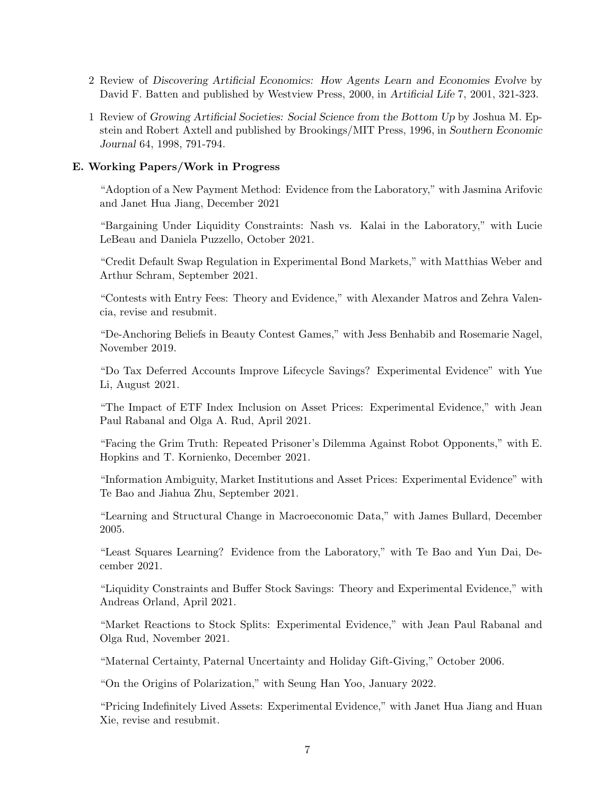- 2 Review of *Discovering Artificial Economics: How Agents Learn and Economies Evolve* by David F. Batten and published by Westview Press, 2000, in *Artificial Life* 7, 2001, 321-323.
- 1 Review of *Growing Artificial Societies: Social Science from the Bottom Up* by Joshua M. Epstein and Robert Axtell and published by Brookings/MIT Press, 1996, in *Southern Economic Journal* 64, 1998, 791-794.

# **E. Working Papers/Work in Progress**

"Adoption of a New Payment Method: Evidence from the Laboratory," with Jasmina Arifovic and Janet Hua Jiang, December 2021

"Bargaining Under Liquidity Constraints: Nash vs. Kalai in the Laboratory," with Lucie LeBeau and Daniela Puzzello, October 2021.

"Credit Default Swap Regulation in Experimental Bond Markets," with Matthias Weber and Arthur Schram, September 2021.

"Contests with Entry Fees: Theory and Evidence," with Alexander Matros and Zehra Valencia, revise and resubmit.

"De-Anchoring Beliefs in Beauty Contest Games," with Jess Benhabib and Rosemarie Nagel, November 2019.

"Do Tax Deferred Accounts Improve Lifecycle Savings? Experimental Evidence" with Yue Li, August 2021.

"The Impact of ETF Index Inclusion on Asset Prices: Experimental Evidence," with Jean Paul Rabanal and Olga A. Rud, April 2021.

"Facing the Grim Truth: Repeated Prisoner's Dilemma Against Robot Opponents," with E. Hopkins and T. Kornienko, December 2021.

"Information Ambiguity, Market Institutions and Asset Prices: Experimental Evidence" with Te Bao and Jiahua Zhu, September 2021.

"Learning and Structural Change in Macroeconomic Data," with James Bullard, December 2005.

"Least Squares Learning? Evidence from the Laboratory," with Te Bao and Yun Dai, December 2021.

"Liquidity Constraints and Buffer Stock Savings: Theory and Experimental Evidence," with Andreas Orland, April 2021.

"Market Reactions to Stock Splits: Experimental Evidence," with Jean Paul Rabanal and Olga Rud, November 2021.

"Maternal Certainty, Paternal Uncertainty and Holiday Gift-Giving," October 2006.

"On the Origins of Polarization," with Seung Han Yoo, January 2022.

"Pricing Indefinitely Lived Assets: Experimental Evidence," with Janet Hua Jiang and Huan Xie, revise and resubmit.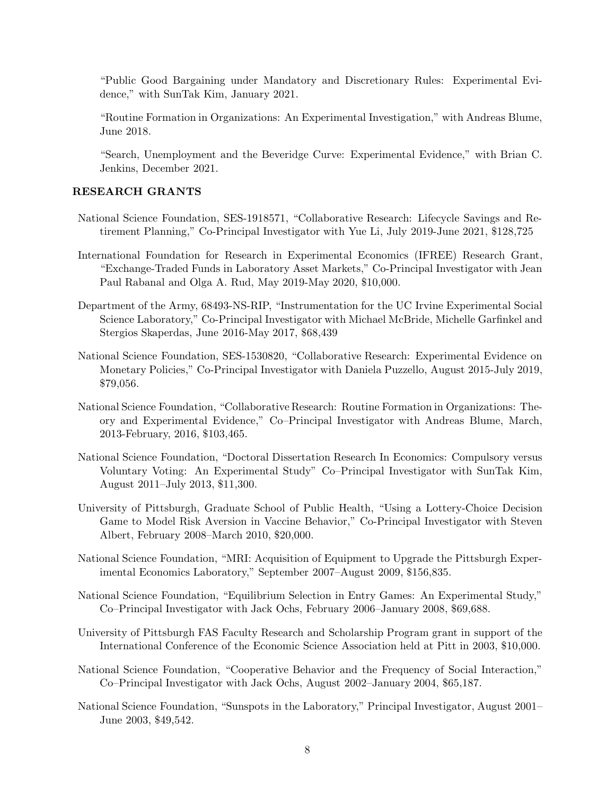"Public Good Bargaining under Mandatory and Discretionary Rules: Experimental Evidence," with SunTak Kim, January 2021.

"Routine Formation in Organizations: An Experimental Investigation," with Andreas Blume, June 2018.

"Search, Unemployment and the Beveridge Curve: Experimental Evidence," with Brian C. Jenkins, December 2021.

- National Science Foundation, SES-1918571, "Collaborative Research: Lifecycle Savings and Retirement Planning," Co-Principal Investigator with Yue Li, July 2019-June 2021, \$128,725
- International Foundation for Research in Experimental Economics (IFREE) Research Grant, "Exchange-Traded Funds in Laboratory Asset Markets," Co-Principal Investigator with Jean Paul Rabanal and Olga A. Rud, May 2019-May 2020, \$10,000.
- Department of the Army, 68493-NS-RIP, "Instrumentation for the UC Irvine Experimental Social Science Laboratory," Co-Principal Investigator with Michael McBride, Michelle Garfinkel and Stergios Skaperdas, June 2016-May 2017, \$68,439
- National Science Foundation, SES-1530820, "Collaborative Research: Experimental Evidence on Monetary Policies," Co-Principal Investigator with Daniela Puzzello, August 2015-July 2019, \$79,056.
- National Science Foundation, "Collaborative Research: Routine Formation in Organizations: Theory and Experimental Evidence," Co–Principal Investigator with Andreas Blume, March, 2013-February, 2016, \$103,465.
- National Science Foundation, "Doctoral Dissertation Research In Economics: Compulsory versus Voluntary Voting: An Experimental Study" Co–Principal Investigator with SunTak Kim, August 2011–July 2013, \$11,300.
- University of Pittsburgh, Graduate School of Public Health, "Using a Lottery-Choice Decision Game to Model Risk Aversion in Vaccine Behavior," Co-Principal Investigator with Steven Albert, February 2008–March 2010, \$20,000.
- National Science Foundation, "MRI: Acquisition of Equipment to Upgrade the Pittsburgh Experimental Economics Laboratory," September 2007–August 2009, \$156,835.
- National Science Foundation, "Equilibrium Selection in Entry Games: An Experimental Study," Co–Principal Investigator with Jack Ochs, February 2006–January 2008, \$69,688.
- University of Pittsburgh FAS Faculty Research and Scholarship Program grant in support of the International Conference of the Economic Science Association held at Pitt in 2003, \$10,000.
- National Science Foundation, "Cooperative Behavior and the Frequency of Social Interaction," Co–Principal Investigator with Jack Ochs, August 2002–January 2004, \$65,187.
- National Science Foundation, "Sunspots in the Laboratory," Principal Investigator, August 2001– June 2003, \$49,542.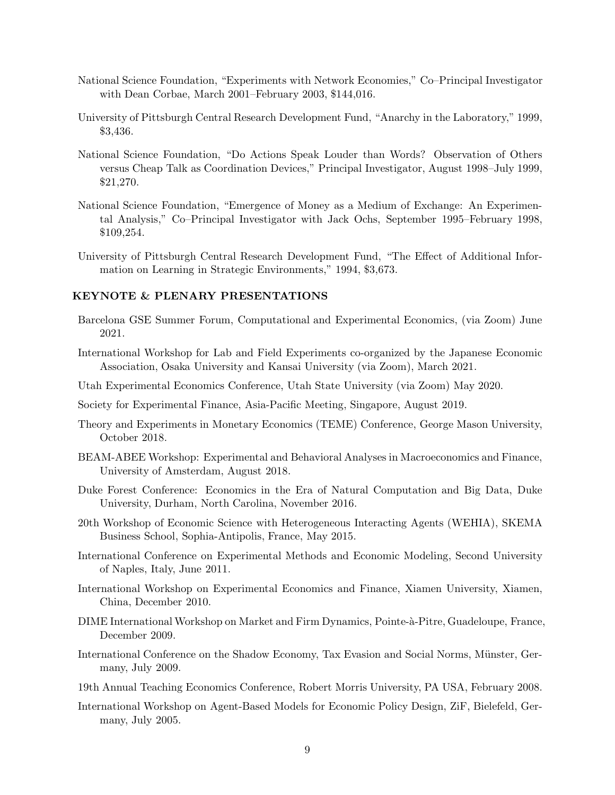- National Science Foundation, "Experiments with Network Economies," Co–Principal Investigator with Dean Corbae, March 2001–February 2003, \$144,016.
- University of Pittsburgh Central Research Development Fund, "Anarchy in the Laboratory," 1999, \$3,436.
- National Science Foundation, "Do Actions Speak Louder than Words? Observation of Others versus Cheap Talk as Coordination Devices," Principal Investigator, August 1998–July 1999, \$21,270.
- National Science Foundation, "Emergence of Money as a Medium of Exchange: An Experimental Analysis," Co–Principal Investigator with Jack Ochs, September 1995–February 1998, \$109,254.
- University of Pittsburgh Central Research Development Fund, "The Effect of Additional Information on Learning in Strategic Environments," 1994, \$3,673.

- Barcelona GSE Summer Forum, Computational and Experimental Economics, (via Zoom) June 2021.
- International Workshop for Lab and Field Experiments co-organized by the Japanese Economic Association, Osaka University and Kansai University (via Zoom), March 2021.
- Utah Experimental Economics Conference, Utah State University (via Zoom) May 2020.
- Society for Experimental Finance, Asia-Pacific Meeting, Singapore, August 2019.
- Theory and Experiments in Monetary Economics (TEME) Conference, George Mason University, October 2018.
- BEAM-ABEE Workshop: Experimental and Behavioral Analyses in Macroeconomics and Finance, University of Amsterdam, August 2018.
- Duke Forest Conference: Economics in the Era of Natural Computation and Big Data, Duke University, Durham, North Carolina, November 2016.
- 20th Workshop of Economic Science with Heterogeneous Interacting Agents (WEHIA), SKEMA Business School, Sophia-Antipolis, France, May 2015.
- International Conference on Experimental Methods and Economic Modeling, Second University of Naples, Italy, June 2011.
- International Workshop on Experimental Economics and Finance, Xiamen University, Xiamen, China, December 2010.
- DIME International Workshop on Market and Firm Dynamics, Pointe-à-Pitre, Guadeloupe, France, December 2009.
- International Conference on the Shadow Economy, Tax Evasion and Social Norms, Münster, Germany, July 2009.
- 19th Annual Teaching Economics Conference, Robert Morris University, PA USA, February 2008.
- International Workshop on Agent-Based Models for Economic Policy Design, ZiF, Bielefeld, Germany, July 2005.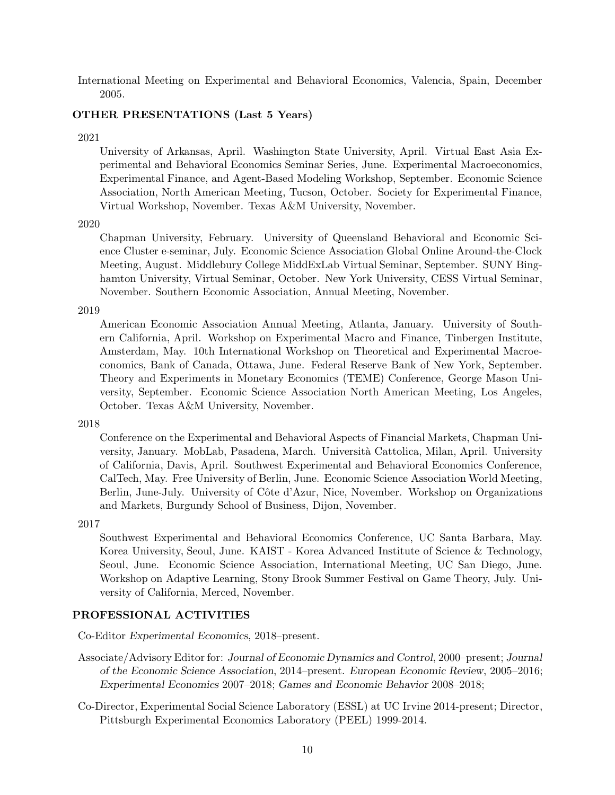International Meeting on Experimental and Behavioral Economics, Valencia, Spain, December 2005.

### **OTHER PRESENTATIONS (Last 5 Years)**

### 2021

University of Arkansas, April. Washington State University, April. Virtual East Asia Experimental and Behavioral Economics Seminar Series, June. Experimental Macroeconomics, Experimental Finance, and Agent-Based Modeling Workshop, September. Economic Science Association, North American Meeting, Tucson, October. Society for Experimental Finance, Virtual Workshop, November. Texas A&M University, November.

### 2020

Chapman University, February. University of Queensland Behavioral and Economic Science Cluster e-seminar, July. Economic Science Association Global Online Around-the-Clock Meeting, August. Middlebury College MiddExLab Virtual Seminar, September. SUNY Binghamton University, Virtual Seminar, October. New York University, CESS Virtual Seminar, November. Southern Economic Association, Annual Meeting, November.

### 2019

American Economic Association Annual Meeting, Atlanta, January. University of Southern California, April. Workshop on Experimental Macro and Finance, Tinbergen Institute, Amsterdam, May. 10th International Workshop on Theoretical and Experimental Macroeconomics, Bank of Canada, Ottawa, June. Federal Reserve Bank of New York, September. Theory and Experiments in Monetary Economics (TEME) Conference, George Mason University, September. Economic Science Association North American Meeting, Los Angeles, October. Texas A&M University, November.

### 2018

Conference on the Experimental and Behavioral Aspects of Financial Markets, Chapman University, January. MobLab, Pasadena, March. Universit`a Cattolica, Milan, April. University of California, Davis, April. Southwest Experimental and Behavioral Economics Conference, CalTech, May. Free University of Berlin, June. Economic Science Association World Meeting, Berlin, June-July. University of Côte d'Azur, Nice, November. Workshop on Organizations and Markets, Burgundy School of Business, Dijon, November.

### 2017

Southwest Experimental and Behavioral Economics Conference, UC Santa Barbara, May. Korea University, Seoul, June. KAIST - Korea Advanced Institute of Science & Technology, Seoul, June. Economic Science Association, International Meeting, UC San Diego, June. Workshop on Adaptive Learning, Stony Brook Summer Festival on Game Theory, July. University of California, Merced, November.

Co-Editor *Experimental Economics*, 2018–present.

- Associate/Advisory Editor for: *Journal of Economic Dynamics and Control*, 2000–present; *Journal of the Economic Science Association*, 2014–present. *European Economic Review*, 2005–2016; *Experimental Economics* 2007–2018; *Games and Economic Behavior* 2008–2018;
- Co-Director, Experimental Social Science Laboratory (ESSL) at UC Irvine 2014-present; Director, Pittsburgh Experimental Economics Laboratory (PEEL) 1999-2014.